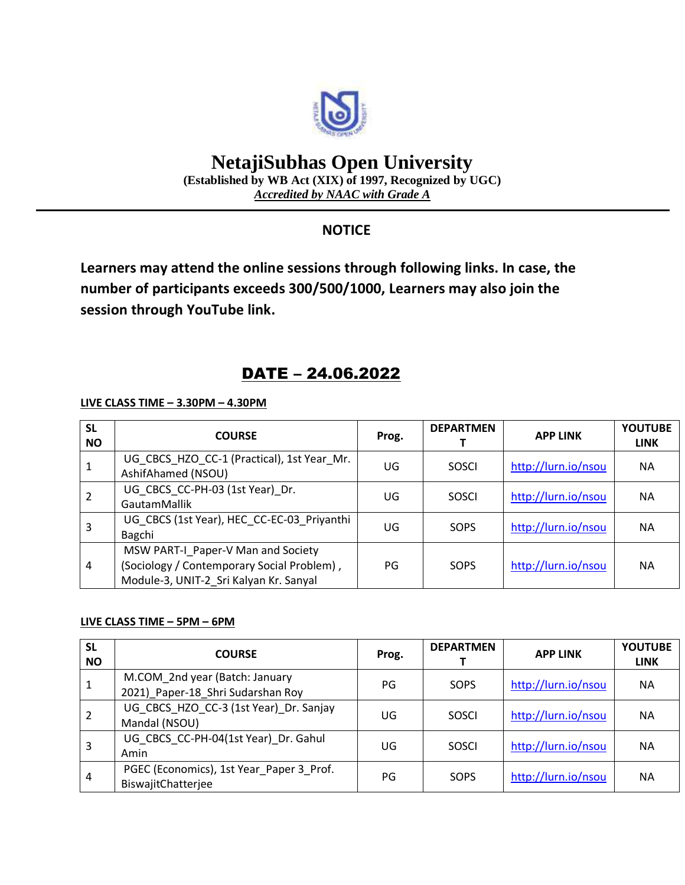

# **NetajiSubhas Open University**

**(Established by WB Act (XIX) of 1997, Recognized by UGC)** *Accredited by NAAC with Grade A*

### **NOTICE**

**Learners may attend the online sessions through following links. In case, the number of participants exceeds 300/500/1000, Learners may also join the session through YouTube link.**

## DATE – 24.06.2022

**LIVE CLASS TIME – 3.30PM – 4.30PM**

| <b>SL</b><br><b>NO</b> | <b>COURSE</b>                                                                                                              | Prog. | <b>DEPARTMEN</b> | <b>APP LINK</b>     | <b>YOUTUBE</b><br><b>LINK</b> |
|------------------------|----------------------------------------------------------------------------------------------------------------------------|-------|------------------|---------------------|-------------------------------|
|                        | UG_CBCS_HZO_CC-1 (Practical), 1st Year_Mr.<br>AshifAhamed (NSOU)                                                           | UG    | <b>SOSCI</b>     | http://lurn.io/nsou | <b>NA</b>                     |
|                        | UG_CBCS_CC-PH-03 (1st Year)_Dr.<br><b>GautamMallik</b>                                                                     | UG    | <b>SOSCI</b>     | http://lurn.io/nsou | NА                            |
| 3                      | UG CBCS (1st Year), HEC CC-EC-03 Priyanthi<br>Bagchi                                                                       | UG    | SOPS             | http://lurn.io/nsou | NА                            |
| 4                      | MSW PART-I Paper-V Man and Society<br>(Sociology / Contemporary Social Problem),<br>Module-3, UNIT-2 Sri Kalyan Kr. Sanyal | PG    | SOPS             | http://lurn.io/nsou | <b>NA</b>                     |

#### **LIVE CLASS TIME – 5PM – 6PM**

| <b>SL</b><br><b>NO</b> | <b>COURSE</b>                                                       | Prog. | <b>DEPARTMEN</b> | <b>APP LINK</b>     | <b>YOUTUBE</b><br><b>LINK</b> |
|------------------------|---------------------------------------------------------------------|-------|------------------|---------------------|-------------------------------|
|                        | M.COM 2nd year (Batch: January<br>2021) Paper-18 Shri Sudarshan Roy | PG    | SOPS             | http://lurn.io/nsou | NА                            |
|                        | UG CBCS HZO CC-3 (1st Year) Dr. Sanjay<br>Mandal (NSOU)             | UG    | SOSCI            | http://lurn.io/nsou | <b>NA</b>                     |
| 3                      | UG CBCS CC-PH-04(1st Year) Dr. Gahul<br>Amin                        | UG    | SOSCI            | http://lurn.io/nsou | <b>NA</b>                     |
| 4                      | PGEC (Economics), 1st Year Paper 3 Prof.<br>BiswajitChatterjee      | PG    | SOPS             | http://lurn.io/nsou | <b>NA</b>                     |